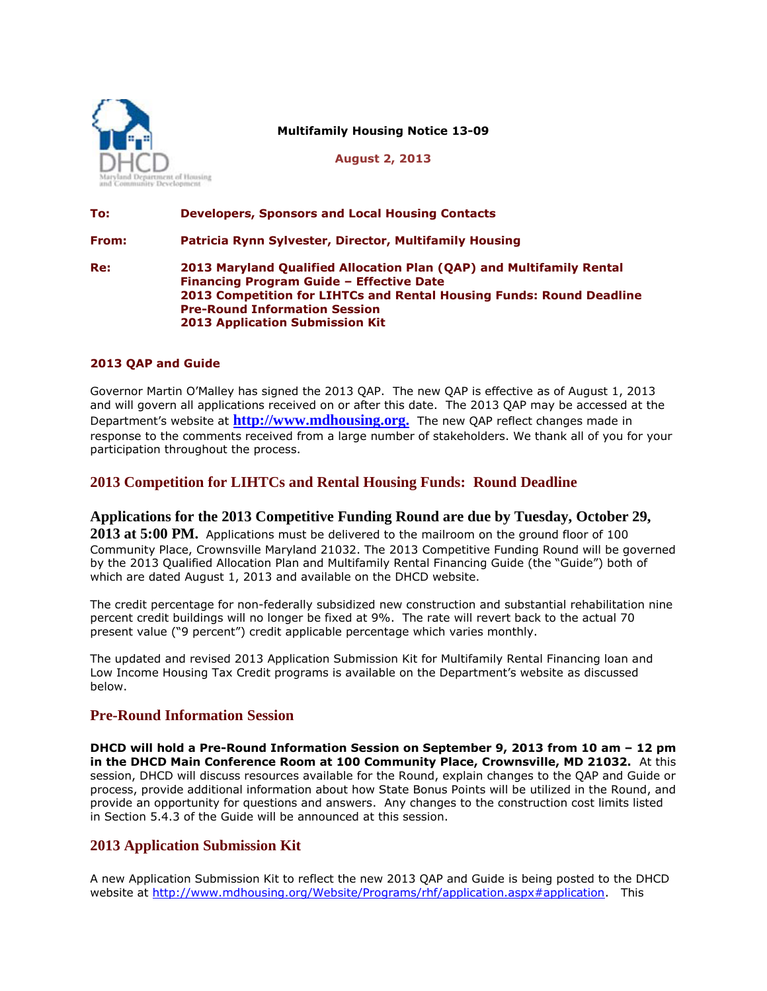

**Multifamily Housing Notice 13-09**

**August 2, 2013**

# **To: Developers, Sponsors and Local Housing Contacts From: Patricia Rynn Sylvester, Director, Multifamily Housing Re: 2013 Maryland Qualified Allocation Plan (QAP) and Multifamily Rental Financing Program Guide – Effective Date 2013 Competition for LIHTCs and Rental Housing Funds: Round Deadline Pre-Round Information Session 2013 Application Submission Kit**

#### **2013 QAP and Guide**

Governor Martin O'Malley has signed the 2013 QAP. The new QAP is effective as of August 1, 2013 and will govern all applications received on or after this date. The 2013 QAP may be accessed at the Department's website at **[http://www.mdhousing.org.](http://www.mdhousing.org/)** The new QAP reflect changes made in response to the comments received from a large number of stakeholders. We thank all of you for your participation throughout the process.

## **2013 Competition for LIHTCs and Rental Housing Funds: Round Deadline**

#### **Applications for the 2013 Competitive Funding Round are due by Tuesday, October 29,**

**2013 at 5:00 PM.** Applications must be delivered to the mailroom on the ground floor of 100 Community Place, Crownsville Maryland 21032. The 2013 Competitive Funding Round will be governed by the 2013 Qualified Allocation Plan and Multifamily Rental Financing Guide (the "Guide") both of which are dated August 1, 2013 and available on the DHCD website.

The credit percentage for non-federally subsidized new construction and substantial rehabilitation nine percent credit buildings will no longer be fixed at 9%. The rate will revert back to the actual 70 present value ("9 percent") credit applicable percentage which varies monthly.

The updated and revised 2013 Application Submission Kit for Multifamily Rental Financing loan and Low Income Housing Tax Credit programs is available on the Department's website as discussed below.

### **Pre-Round Information Session**

**DHCD will hold a Pre-Round Information Session on September 9, 2013 from 10 am – 12 pm in the DHCD Main Conference Room at 100 Community Place, Crownsville, MD 21032.** At this session, DHCD will discuss resources available for the Round, explain changes to the QAP and Guide or process, provide additional information about how State Bonus Points will be utilized in the Round, and provide an opportunity for questions and answers. Any changes to the construction cost limits listed in Section 5.4.3 of the Guide will be announced at this session.

## **2013 Application Submission Kit**

A new Application Submission Kit to reflect the new 2013 QAP and Guide is being posted to the DHCD website at [http://www.mdhousing.org/Website/Programs/rhf/application.aspx#application.](http://www.mdhousing.org/Website/Programs/rhf/application.aspx#application) This